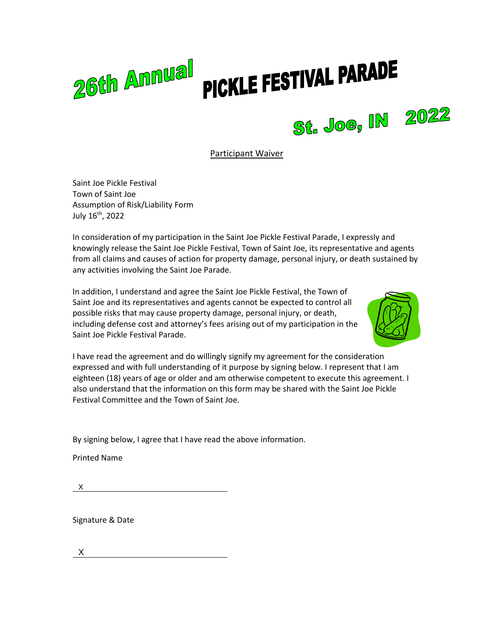## 26th Annual PICKLE FESTIVAL PARADE



Saint Joe Pickle Festival Town of Saint Joe Assumption of Risk/Liability Form July 16th, 2022

In consideration of my participation in the Saint Joe Pickle Festival Parade, I expressly and knowingly release the Saint Joe Pickle Festival, Town of Saint Joe, its representative and agents from all claims and causes of action for property damage, personal injury, or death sustained by any activities involving the Saint Joe Parade.

In addition, I understand and agree the Saint Joe Pickle Festival, the Town of Saint Joe and its representatives and agents cannot be expected to control all possible risks that may cause property damage, personal injury, or death, including defense cost and attorney's fees arising out of my participation in the Saint Joe Pickle Festival Parade.



St. Joe, IN 2022

I have read the agreement and do willingly signify my agreement for the consideration expressed and with full understanding of it purpose by signing below. I represent that I am eighteen (18) years of age or older and am otherwise competent to execute this agreement. I also understand that the information on this form may be shared with the Saint Joe Pickle Festival Committee and the Town of Saint Joe.

By signing below, I agree that I have read the above information.

Printed Name

X 

Signature & Date

X